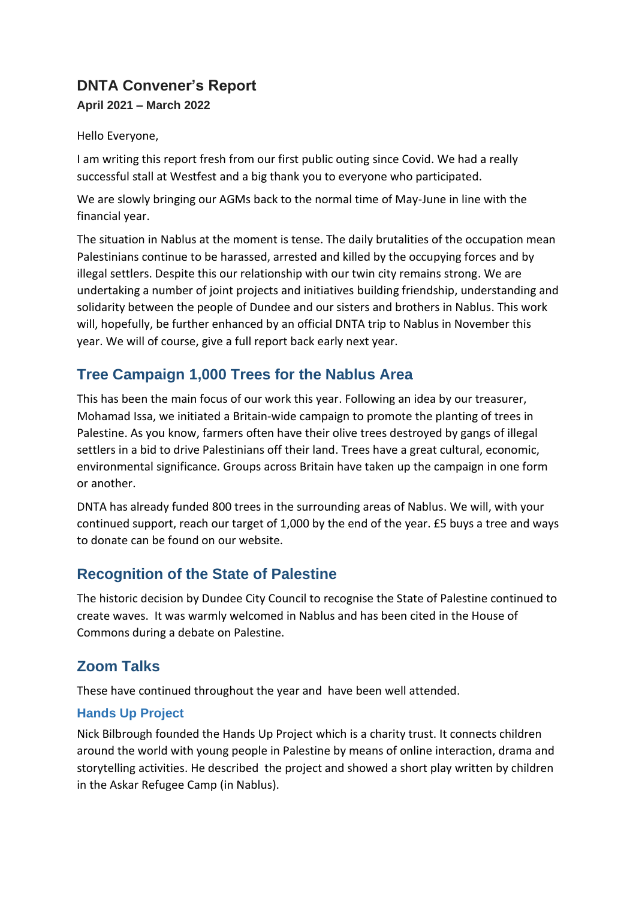## **DNTA Convener's Report April 2021 – March 2022**

Hello Everyone,

I am writing this report fresh from our first public outing since Covid. We had a really successful stall at Westfest and a big thank you to everyone who participated.

We are slowly bringing our AGMs back to the normal time of May-June in line with the financial year.

The situation in Nablus at the moment is tense. The daily brutalities of the occupation mean Palestinians continue to be harassed, arrested and killed by the occupying forces and by illegal settlers. Despite this our relationship with our twin city remains strong. We are undertaking a number of joint projects and initiatives building friendship, understanding and solidarity between the people of Dundee and our sisters and brothers in Nablus. This work will, hopefully, be further enhanced by an official DNTA trip to Nablus in November this year. We will of course, give a full report back early next year.

## **Tree Campaign 1,000 Trees for the Nablus Area**

This has been the main focus of our work this year. Following an idea by our treasurer, Mohamad Issa, we initiated a Britain-wide campaign to promote the planting of trees in Palestine. As you know, farmers often have their olive trees destroyed by gangs of illegal settlers in a bid to drive Palestinians off their land. Trees have a great cultural, economic, environmental significance. Groups across Britain have taken up the campaign in one form or another.

DNTA has already funded 800 trees in the surrounding areas of Nablus. We will, with your continued support, reach our target of 1,000 by the end of the year. £5 buys a tree and ways to donate can be found on our website.

## **Recognition of the State of Palestine**

The historic decision by Dundee City Council to recognise the State of Palestine continued to create waves. It was warmly welcomed in Nablus and has been cited in the House of Commons during a debate on Palestine.

# **Zoom Talks**

These have continued throughout the year and have been well attended.

### **Hands Up Project**

Nick Bilbrough founded the Hands Up Project which is a charity trust. It connects children around the world with young people in Palestine by means of online interaction, drama and storytelling activities. He described the project and showed a short play written by children in the Askar Refugee Camp (in Nablus).